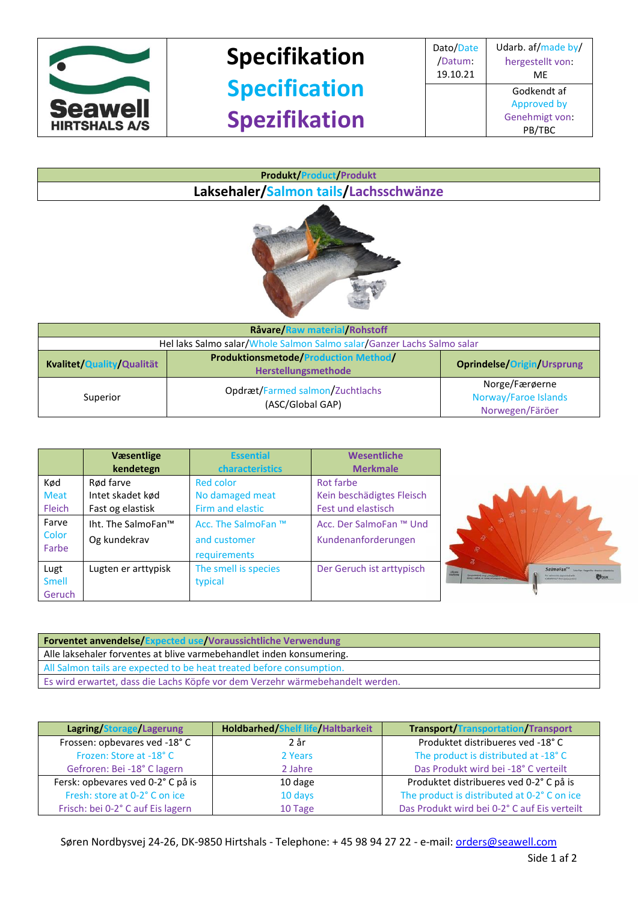

## **Specifikation Specification Spezifikation**

Dato/Date /Datum: 19.10.21 Udarb. af/made by/ hergestellt von: ME Godkendt af Approved by Genehmigt von: PB/TBC





| Råvare/Raw material/Rohstoff                                           |                                                                           |                                                           |
|------------------------------------------------------------------------|---------------------------------------------------------------------------|-----------------------------------------------------------|
| Hel laks Salmo salar/Whole Salmon Salmo salar/Ganzer Lachs Salmo salar |                                                                           |                                                           |
| Kvalitet/Quality/Qualität                                              | <b>Produktionsmetode/Production Method/</b><br><b>Herstellungsmethode</b> | <b>Oprindelse/Origin/Ursprung</b>                         |
| Superior                                                               | Opdræt/Farmed salmon/Zuchtlachs<br>(ASC/Global GAP)                       | Norge/Færøerne<br>Norway/Faroe Islands<br>Norwegen/Färöer |

|               | Væsentlige<br>kendetegn | <b>Essential</b><br>characteristics | Wesentliche<br><b>Merkmale</b> |
|---------------|-------------------------|-------------------------------------|--------------------------------|
| Kød           | Rød farve               | Red color                           | Rot farbe                      |
| <b>Meat</b>   | Intet skadet kød        | No damaged meat                     | Kein beschädigtes Fleisch      |
| <b>Fleich</b> | Fast og elastisk        | Firm and elastic                    | Fest und elastisch             |
| Farve         | Iht. The SalmoFan™      | Acc. The SalmoFan ™                 | Acc. Der SalmoFan ™ Und        |
| Color         | Og kundekrav            | and customer                        | Kundenanforderungen            |
| Farbe         |                         | requirements                        |                                |
| Lugt          | Lugten er arttypisk     | The smell is species                | Der Geruch ist arttypisch      |
| <b>Smell</b>  |                         | typical                             |                                |
| Geruch        |                         |                                     |                                |



**Forventet anvendelse/Expected use/Voraussichtliche Verwendung** Alle laksehaler forventes at blive varmebehandlet inden konsumering. All Salmon tails are expected to be heat treated before consumption. Es wird erwartet, dass die Lachs Köpfe vor dem Verzehr wärmebehandelt werden.

| Lagring/Storage/Lagerung          | <b>Holdbarhed/Shelf life/Haltbarkeit</b> | <b>Transport/Transportation/Transport</b>   |
|-----------------------------------|------------------------------------------|---------------------------------------------|
| Frossen: opbevares ved -18°C      | 2 år                                     | Produktet distribueres ved -18°C            |
| Frozen: Store at -18°C            | 2 Years                                  | The product is distributed at -18° C        |
| Gefroren: Bei -18° C lagern       | 2 Jahre                                  | Das Produkt wird bei -18° C verteilt        |
| Fersk: opbevares ved 0-2° C på is | 10 dage                                  | Produktet distribueres ved 0-2°C på is      |
| Fresh: store at 0-2° C on ice     | 10 days                                  | The product is distributed at 0-2° C on ice |
| Frisch: bei 0-2° C auf Eis lagern | 10 Tage                                  | Das Produkt wird bei 0-2°C auf Eis verteilt |

Søren Nordbysvej 24-26, DK-9850 Hirtshals - Telephone: + 45 98 94 27 22 - e-mail[: orders@seawell.com](mailto:orders@seawell.com)